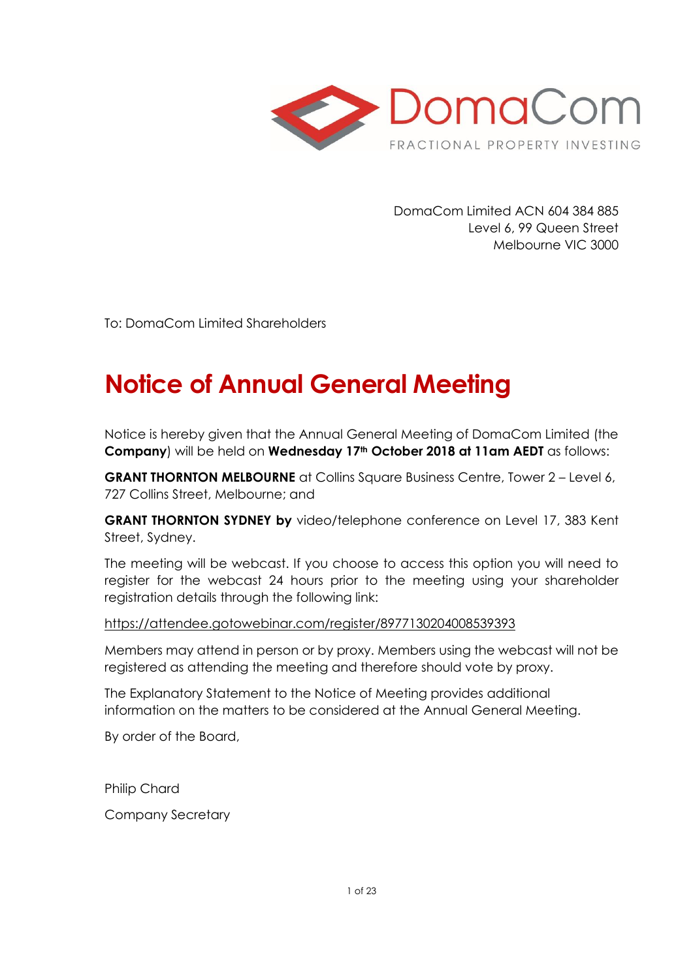

DomaCom Limited ACN 604 384 885 Level 6, 99 Queen Street Melbourne VIC 3000

To: DomaCom Limited Shareholders

# **Notice of Annual General Meeting**

Notice is hereby given that the Annual General Meeting of DomaCom Limited (the **Company**) will be held on **Wednesday 17th October 2018 at 11am AEDT** as follows:

**GRANT THORNTON MELBOURNE** at Collins Square Business Centre, Tower 2 – Level 6, 727 Collins Street, Melbourne; and

**GRANT THORNTON SYDNEY by** video/telephone conference on Level 17, 383 Kent Street, Sydney.

The meeting will be webcast. If you choose to access this option you will need to register for the webcast 24 hours prior to the meeting using your shareholder registration details through the following link:

#### [https://attendee.gotowebinar.com/register/8977130204008539393](https://apac01.safelinks.protection.outlook.com/?url=https://attendee.gotowebinar.com/register/8977130204008539393&data=02%7c01%7cdonovan.humphries%40domacom.com.au%7c6aa9dc4eacb24e8406d908d613970292%7c39f342c447984b4aa5c878207a6c9250%7c0%7c0%7c636717936753403051&sdata=8orKXP5yrAtQGp/AFXgzOk3As/Jvp1RBGyucMHuTIyo%3D&reserved=0)

Members may attend in person or by proxy. Members using the webcast will not be registered as attending the meeting and therefore should vote by proxy.

The Explanatory Statement to the Notice of Meeting provides additional information on the matters to be considered at the Annual General Meeting.

By order of the Board,

Philip Chard Company Secretary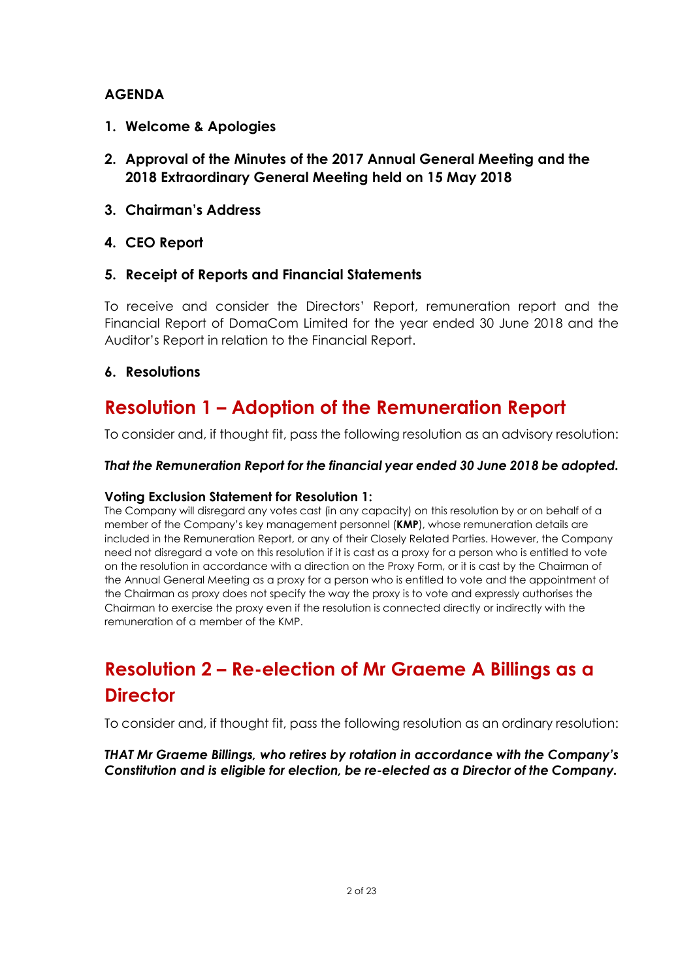### **AGENDA**

- **1. Welcome & Apologies**
- **2. Approval of the Minutes of the 2017 Annual General Meeting and the 2018 Extraordinary General Meeting held on 15 May 2018**
- **3. Chairman's Address**
- **4. CEO Report**

### **5. Receipt of Reports and Financial Statements**

To receive and consider the Directors' Report, remuneration report and the Financial Report of DomaCom Limited for the year ended 30 June 2018 and the Auditor's Report in relation to the Financial Report.

### **6. Resolutions**

# **Resolution 1 – Adoption of the Remuneration Report**

To consider and, if thought fit, pass the following resolution as an advisory resolution:

#### *That the Remuneration Report for the financial year ended 30 June 2018 be adopted.*

#### **Voting Exclusion Statement for Resolution 1:**

The Company will disregard any votes cast (in any capacity) on this resolution by or on behalf of a member of the Company's key management personnel (**KMP**), whose remuneration details are included in the Remuneration Report, or any of their Closely Related Parties. However, the Company need not disregard a vote on this resolution if it is cast as a proxy for a person who is entitled to vote on the resolution in accordance with a direction on the Proxy Form, or it is cast by the Chairman of the Annual General Meeting as a proxy for a person who is entitled to vote and the appointment of the Chairman as proxy does not specify the way the proxy is to vote and expressly authorises the Chairman to exercise the proxy even if the resolution is connected directly or indirectly with the remuneration of a member of the KMP.

# **Resolution 2 – Re-election of Mr Graeme A Billings as a Director**

To consider and, if thought fit, pass the following resolution as an ordinary resolution:

*THAT Mr Graeme Billings, who retires by rotation in accordance with the Company's Constitution and is eligible for election, be re-elected as a Director of the Company.*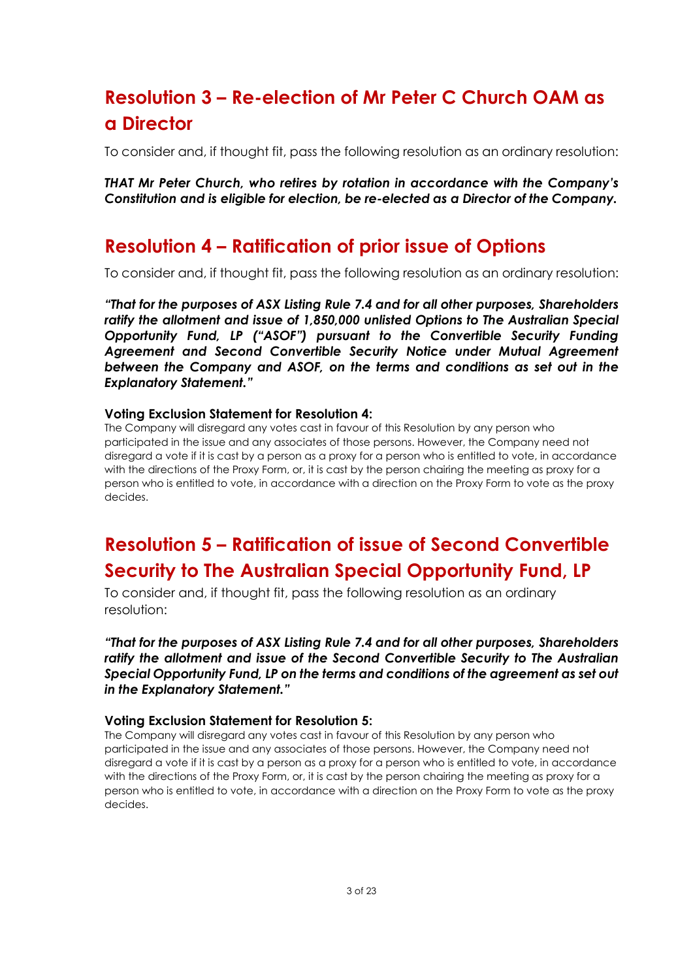# **Resolution 3 – Re-election of Mr Peter C Church OAM as a Director**

To consider and, if thought fit, pass the following resolution as an ordinary resolution:

*THAT Mr Peter Church, who retires by rotation in accordance with the Company's Constitution and is eligible for election, be re-elected as a Director of the Company.*

# **Resolution 4 – Ratification of prior issue of Options**

To consider and, if thought fit, pass the following resolution as an ordinary resolution:

*"That for the purposes of ASX Listing Rule 7.4 and for all other purposes, Shareholders ratify the allotment and issue of 1,850,000 unlisted Options to The Australian Special Opportunity Fund, LP ("ASOF") pursuant to the Convertible Security Funding Agreement and Second Convertible Security Notice under Mutual Agreement between the Company and ASOF, on the terms and conditions as set out in the Explanatory Statement."*

#### **Voting Exclusion Statement for Resolution 4:**

The Company will disregard any votes cast in favour of this Resolution by any person who participated in the issue and any associates of those persons. However, the Company need not disregard a vote if it is cast by a person as a proxy for a person who is entitled to vote, in accordance with the directions of the Proxy Form, or, it is cast by the person chairing the meeting as proxy for a person who is entitled to vote, in accordance with a direction on the Proxy Form to vote as the proxy decides.

# **Resolution 5 – Ratification of issue of Second Convertible Security to The Australian Special Opportunity Fund, LP**

To consider and, if thought fit, pass the following resolution as an ordinary resolution:

*"That for the purposes of ASX Listing Rule 7.4 and for all other purposes, Shareholders ratify the allotment and issue of the Second Convertible Security to The Australian Special Opportunity Fund, LP on the terms and conditions of the agreement as set out in the Explanatory Statement."*

#### **Voting Exclusion Statement for Resolution 5:**

The Company will disregard any votes cast in favour of this Resolution by any person who participated in the issue and any associates of those persons. However, the Company need not disregard a vote if it is cast by a person as a proxy for a person who is entitled to vote, in accordance with the directions of the Proxy Form, or, it is cast by the person chairing the meeting as proxy for a person who is entitled to vote, in accordance with a direction on the Proxy Form to vote as the proxy decides.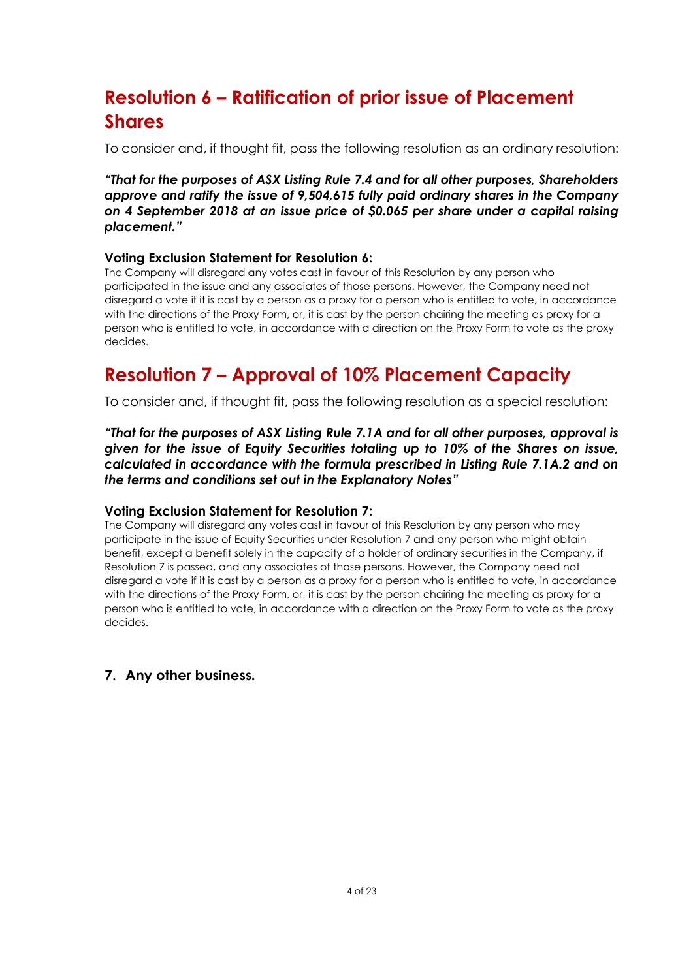# **Resolution 6 – Ratification of prior issue of Placement Shares**

To consider and, if thought fit, pass the following resolution as an ordinary resolution:

*"That for the purposes of ASX Listing Rule 7.4 and for all other purposes, Shareholders approve and ratify the issue of 9,504,615 fully paid ordinary shares in the Company on 4 September 2018 at an issue price of \$0.065 per share under a capital raising placement."*

#### **Voting Exclusion Statement for Resolution 6:**

The Company will disregard any votes cast in favour of this Resolution by any person who participated in the issue and any associates of those persons. However, the Company need not disregard a vote if it is cast by a person as a proxy for a person who is entitled to vote, in accordance with the directions of the Proxy Form, or, it is cast by the person chairing the meeting as proxy for a person who is entitled to vote, in accordance with a direction on the Proxy Form to vote as the proxy decides.

# **Resolution 7 – Approval of 10% Placement Capacity**

To consider and, if thought fit, pass the following resolution as a special resolution:

*"That for the purposes of ASX Listing Rule 7.1A and for all other purposes, approval is given for the issue of Equity Securities totaling up to 10% of the Shares on issue, calculated in accordance with the formula prescribed in Listing Rule 7.1A.2 and on the terms and conditions set out in the Explanatory Notes"*

#### **Voting Exclusion Statement for Resolution 7:**

The Company will disregard any votes cast in favour of this Resolution by any person who may participate in the issue of Equity Securities under Resolution 7 and any person who might obtain benefit, except a benefit solely in the capacity of a holder of ordinary securities in the Company, if Resolution 7 is passed, and any associates of those persons. However, the Company need not disregard a vote if it is cast by a person as a proxy for a person who is entitled to vote, in accordance with the directions of the Proxy Form, or, it is cast by the person chairing the meeting as proxy for a person who is entitled to vote, in accordance with a direction on the Proxy Form to vote as the proxy decides.

#### **7. Any other business***.*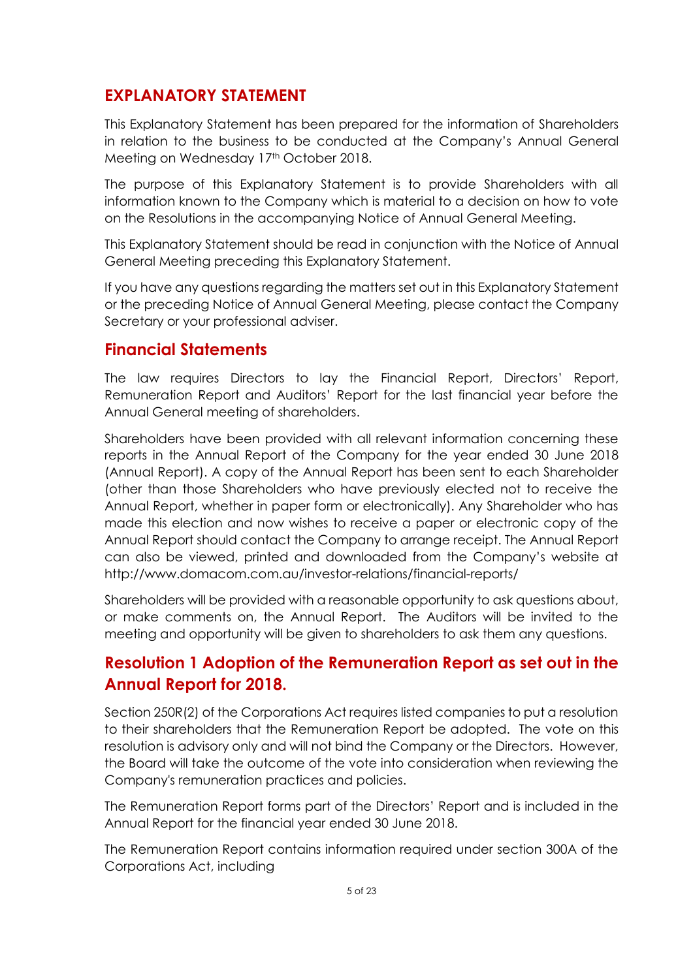# **EXPLANATORY STATEMENT**

This Explanatory Statement has been prepared for the information of Shareholders in relation to the business to be conducted at the Company's Annual General Meeting on Wednesday 17th October 2018.

The purpose of this Explanatory Statement is to provide Shareholders with all information known to the Company which is material to a decision on how to vote on the Resolutions in the accompanying Notice of Annual General Meeting.

This Explanatory Statement should be read in conjunction with the Notice of Annual General Meeting preceding this Explanatory Statement.

If you have any questions regarding the matters set out in this Explanatory Statement or the preceding Notice of Annual General Meeting, please contact the Company Secretary or your professional adviser.

# **Financial Statements**

The law requires Directors to lay the Financial Report, Directors' Report, Remuneration Report and Auditors' Report for the last financial year before the Annual General meeting of shareholders.

Shareholders have been provided with all relevant information concerning these reports in the Annual Report of the Company for the year ended 30 June 2018 (Annual Report). A copy of the Annual Report has been sent to each Shareholder (other than those Shareholders who have previously elected not to receive the Annual Report, whether in paper form or electronically). Any Shareholder who has made this election and now wishes to receive a paper or electronic copy of the Annual Report should contact the Company to arrange receipt. The Annual Report can also be viewed, printed and downloaded from the Company's website at http://www.domacom.com.au/investor-relations/financial-reports/

Shareholders will be provided with a reasonable opportunity to ask questions about, or make comments on, the Annual Report. The Auditors will be invited to the meeting and opportunity will be given to shareholders to ask them any questions.

# **Resolution 1 Adoption of the Remuneration Report as set out in the Annual Report for 2018.**

Section 250R(2) of the Corporations Act requires listed companies to put a resolution to their shareholders that the Remuneration Report be adopted. The vote on this resolution is advisory only and will not bind the Company or the Directors. However, the Board will take the outcome of the vote into consideration when reviewing the Company's remuneration practices and policies.

The Remuneration Report forms part of the Directors' Report and is included in the Annual Report for the financial year ended 30 June 2018.

The Remuneration Report contains information required under section 300A of the Corporations Act, including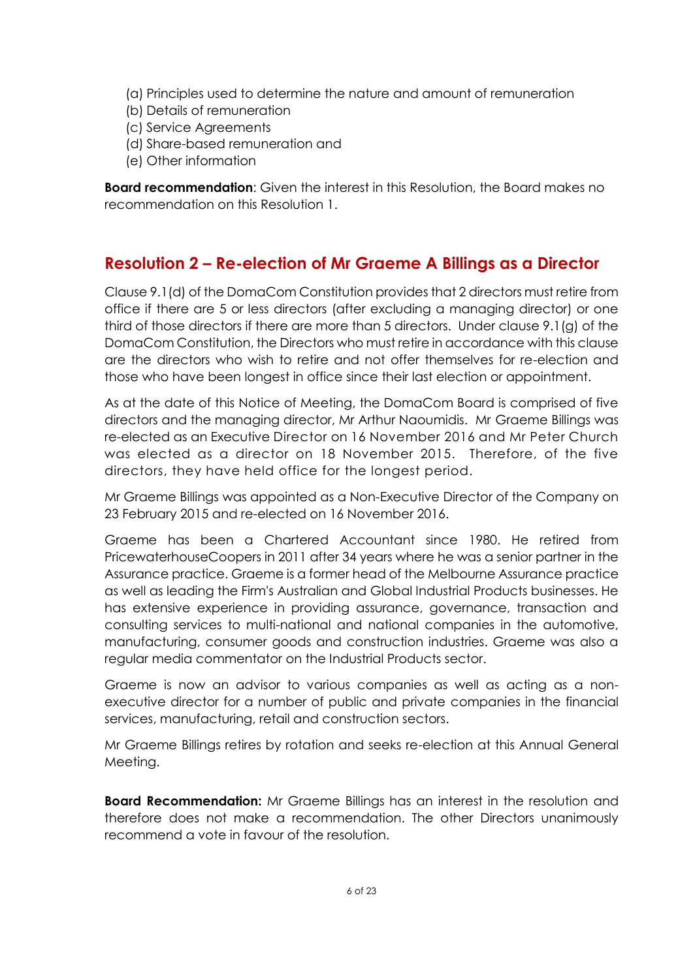- (a) Principles used to determine the nature and amount of remuneration
- (b) Details of remuneration
- (c) Service Agreements
- (d) Share-based remuneration and
- (e) Other information

**Board recommendation:** Given the interest in this Resolution, the Board makes no recommendation on this Resolution 1.

## **Resolution 2 – Re-election of Mr Graeme A Billings as a Director**

Clause 9.1(d) of the DomaCom Constitution provides that 2 directors must retire from office if there are 5 or less directors (after excluding a managing director) or one third of those directors if there are more than 5 directors. Under clause 9.1(g) of the DomaCom Constitution, the Directors who must retire in accordance with this clause are the directors who wish to retire and not offer themselves for re-election and those who have been longest in office since their last election or appointment.

As at the date of this Notice of Meeting, the DomaCom Board is comprised of five directors and the managing director, Mr Arthur Naoumidis. Mr Graeme Billings was re-elected as an Executive Director on 16 November 2016 and Mr Peter Church was elected as a director on 18 November 2015. Therefore, of the five directors, they have held office for the longest period.

Mr Graeme Billings was appointed as a Non-Executive Director of the Company on 23 February 2015 and re-elected on 16 November 2016.

Graeme has been a Chartered Accountant since 1980. He retired from PricewaterhouseCoopers in 2011 after 34 years where he was a senior partner in the Assurance practice. Graeme is a former head of the Melbourne Assurance practice as well as leading the Firm's Australian and Global Industrial Products businesses. He has extensive experience in providing assurance, governance, transaction and consulting services to multi-national and national companies in the automotive, manufacturing, consumer goods and construction industries. Graeme was also a regular media commentator on the Industrial Products sector.

Graeme is now an advisor to various companies as well as acting as a nonexecutive director for a number of public and private companies in the financial services, manufacturing, retail and construction sectors.

Mr Graeme Billings retires by rotation and seeks re-election at this Annual General Meeting.

**Board Recommendation:** Mr Graeme Billings has an interest in the resolution and therefore does not make a recommendation. The other Directors unanimously recommend a vote in favour of the resolution.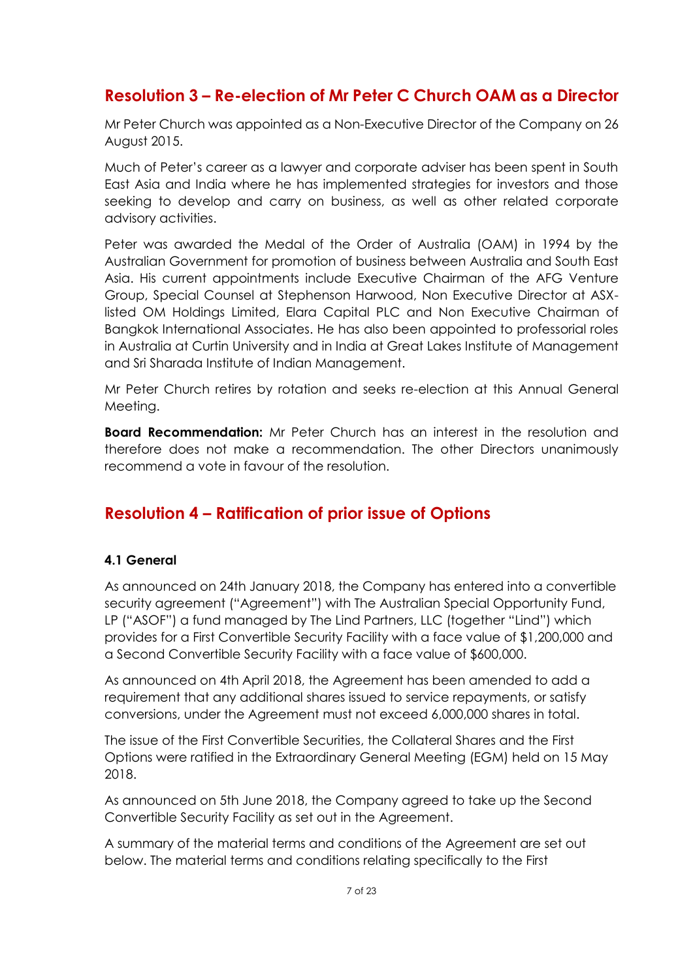# **Resolution 3 – Re-election of Mr Peter C Church OAM as a Director**

Mr Peter Church was appointed as a Non-Executive Director of the Company on 26 August 2015.

Much of Peter's career as a lawyer and corporate adviser has been spent in South East Asia and India where he has implemented strategies for investors and those seeking to develop and carry on business, as well as other related corporate advisory activities.

Peter was awarded the Medal of the Order of Australia (OAM) in 1994 by the Australian Government for promotion of business between Australia and South East Asia. His current appointments include Executive Chairman of the AFG Venture Group, Special Counsel at Stephenson Harwood, Non Executive Director at ASXlisted OM Holdings Limited, Elara Capital PLC and Non Executive Chairman of Bangkok International Associates. He has also been appointed to professorial roles in Australia at Curtin University and in India at Great Lakes Institute of Management and Sri Sharada Institute of Indian Management.

Mr Peter Church retires by rotation and seeks re-election at this Annual General Meeting.

**Board Recommendation:** Mr Peter Church has an interest in the resolution and therefore does not make a recommendation. The other Directors unanimously recommend a vote in favour of the resolution.

## **Resolution 4 – Ratification of prior issue of Options**

#### **4.1 General**

As announced on 24th January 2018, the Company has entered into a convertible security agreement ("Agreement") with The Australian Special Opportunity Fund, LP ("ASOF") a fund managed by The Lind Partners, LLC (together "Lind") which provides for a First Convertible Security Facility with a face value of \$1,200,000 and a Second Convertible Security Facility with a face value of \$600,000.

As announced on 4th April 2018, the Agreement has been amended to add a requirement that any additional shares issued to service repayments, or satisfy conversions, under the Agreement must not exceed 6,000,000 shares in total.

The issue of the First Convertible Securities, the Collateral Shares and the First Options were ratified in the Extraordinary General Meeting (EGM) held on 15 May 2018.

As announced on 5th June 2018, the Company agreed to take up the Second Convertible Security Facility as set out in the Agreement.

A summary of the material terms and conditions of the Agreement are set out below. The material terms and conditions relating specifically to the First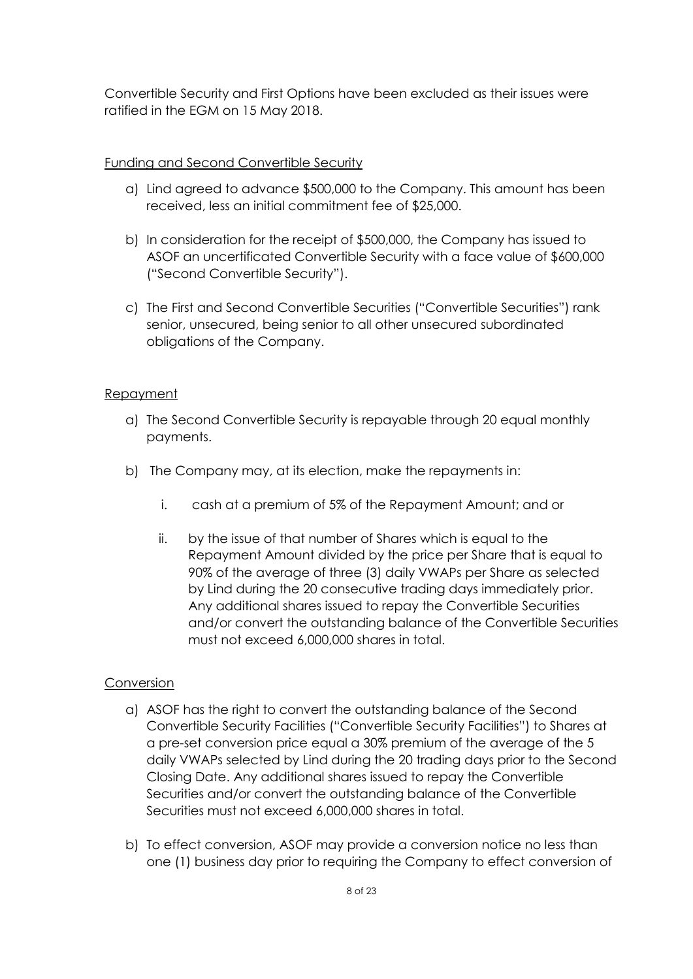Convertible Security and First Options have been excluded as their issues were ratified in the EGM on 15 May 2018.

#### Funding and Second Convertible Security

- a) Lind agreed to advance \$500,000 to the Company. This amount has been received, less an initial commitment fee of \$25,000.
- b) In consideration for the receipt of \$500,000, the Company has issued to ASOF an uncertificated Convertible Security with a face value of \$600,000 ("Second Convertible Security").
- c) The First and Second Convertible Securities ("Convertible Securities") rank senior, unsecured, being senior to all other unsecured subordinated obligations of the Company.

#### Repayment

- a) The Second Convertible Security is repayable through 20 equal monthly payments.
- b) The Company may, at its election, make the repayments in:
	- i. cash at a premium of 5% of the Repayment Amount; and or
	- ii. by the issue of that number of Shares which is equal to the Repayment Amount divided by the price per Share that is equal to 90% of the average of three (3) daily VWAPs per Share as selected by Lind during the 20 consecutive trading days immediately prior. Any additional shares issued to repay the Convertible Securities and/or convert the outstanding balance of the Convertible Securities must not exceed 6,000,000 shares in total.

#### Conversion

- a) ASOF has the right to convert the outstanding balance of the Second Convertible Security Facilities ("Convertible Security Facilities") to Shares at a pre-set conversion price equal a 30% premium of the average of the 5 daily VWAPs selected by Lind during the 20 trading days prior to the Second Closing Date. Any additional shares issued to repay the Convertible Securities and/or convert the outstanding balance of the Convertible Securities must not exceed 6,000,000 shares in total.
- b) To effect conversion, ASOF may provide a conversion notice no less than one (1) business day prior to requiring the Company to effect conversion of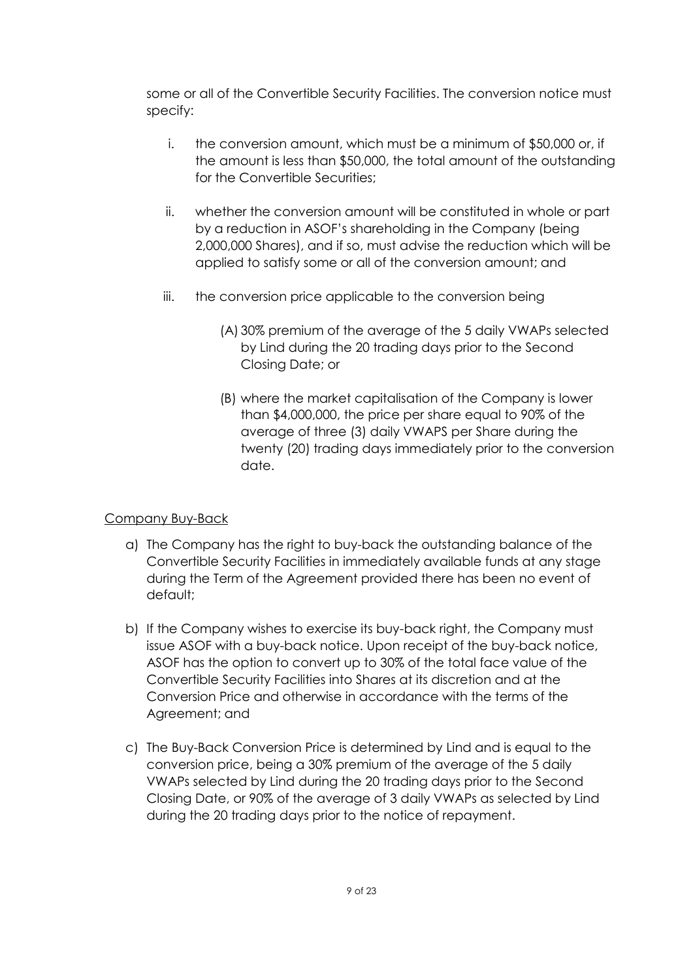some or all of the Convertible Security Facilities. The conversion notice must specify:

- i. the conversion amount, which must be a minimum of \$50,000 or, if the amount is less than \$50,000, the total amount of the outstanding for the Convertible Securities;
- ii. whether the conversion amount will be constituted in whole or part by a reduction in ASOF's shareholding in the Company (being 2,000,000 Shares), and if so, must advise the reduction which will be applied to satisfy some or all of the conversion amount; and
- iii. the conversion price applicable to the conversion being
	- (A) 30% premium of the average of the 5 daily VWAPs selected by Lind during the 20 trading days prior to the Second Closing Date; or
	- (B) where the market capitalisation of the Company is lower than \$4,000,000, the price per share equal to 90% of the average of three (3) daily VWAPS per Share during the twenty (20) trading days immediately prior to the conversion date.

### Company Buy-Back

- a) The Company has the right to buy-back the outstanding balance of the Convertible Security Facilities in immediately available funds at any stage during the Term of the Agreement provided there has been no event of default;
- b) If the Company wishes to exercise its buy-back right, the Company must issue ASOF with a buy-back notice. Upon receipt of the buy-back notice, ASOF has the option to convert up to 30% of the total face value of the Convertible Security Facilities into Shares at its discretion and at the Conversion Price and otherwise in accordance with the terms of the Agreement; and
- c) The Buy-Back Conversion Price is determined by Lind and is equal to the conversion price, being a 30% premium of the average of the 5 daily VWAPs selected by Lind during the 20 trading days prior to the Second Closing Date, or 90% of the average of 3 daily VWAPs as selected by Lind during the 20 trading days prior to the notice of repayment.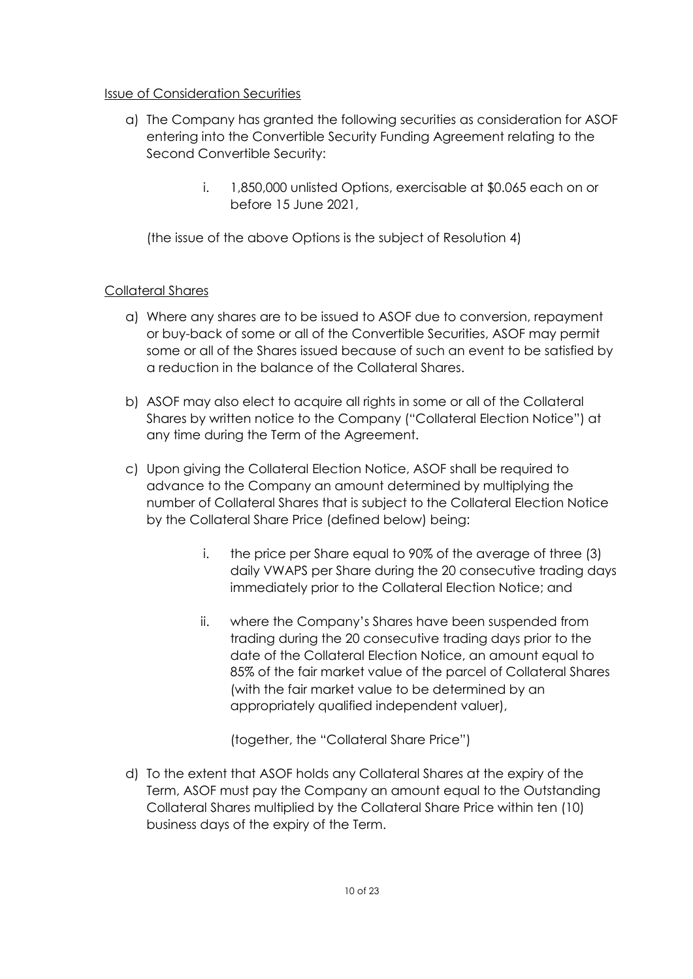#### Issue of Consideration Securities

- a) The Company has granted the following securities as consideration for ASOF entering into the Convertible Security Funding Agreement relating to the Second Convertible Security:
	- i. 1,850,000 unlisted Options, exercisable at \$0.065 each on or before 15 June 2021,

(the issue of the above Options is the subject of Resolution 4)

### Collateral Shares

- a) Where any shares are to be issued to ASOF due to conversion, repayment or buy-back of some or all of the Convertible Securities, ASOF may permit some or all of the Shares issued because of such an event to be satisfied by a reduction in the balance of the Collateral Shares.
- b) ASOF may also elect to acquire all rights in some or all of the Collateral Shares by written notice to the Company ("Collateral Election Notice") at any time during the Term of the Agreement.
- c) Upon giving the Collateral Election Notice, ASOF shall be required to advance to the Company an amount determined by multiplying the number of Collateral Shares that is subject to the Collateral Election Notice by the Collateral Share Price (defined below) being:
	- i. the price per Share equal to 90% of the average of three (3) daily VWAPS per Share during the 20 consecutive trading days immediately prior to the Collateral Election Notice; and
	- ii. where the Company's Shares have been suspended from trading during the 20 consecutive trading days prior to the date of the Collateral Election Notice, an amount equal to 85% of the fair market value of the parcel of Collateral Shares (with the fair market value to be determined by an appropriately qualified independent valuer),

(together, the "Collateral Share Price")

d) To the extent that ASOF holds any Collateral Shares at the expiry of the Term, ASOF must pay the Company an amount equal to the Outstanding Collateral Shares multiplied by the Collateral Share Price within ten (10) business days of the expiry of the Term.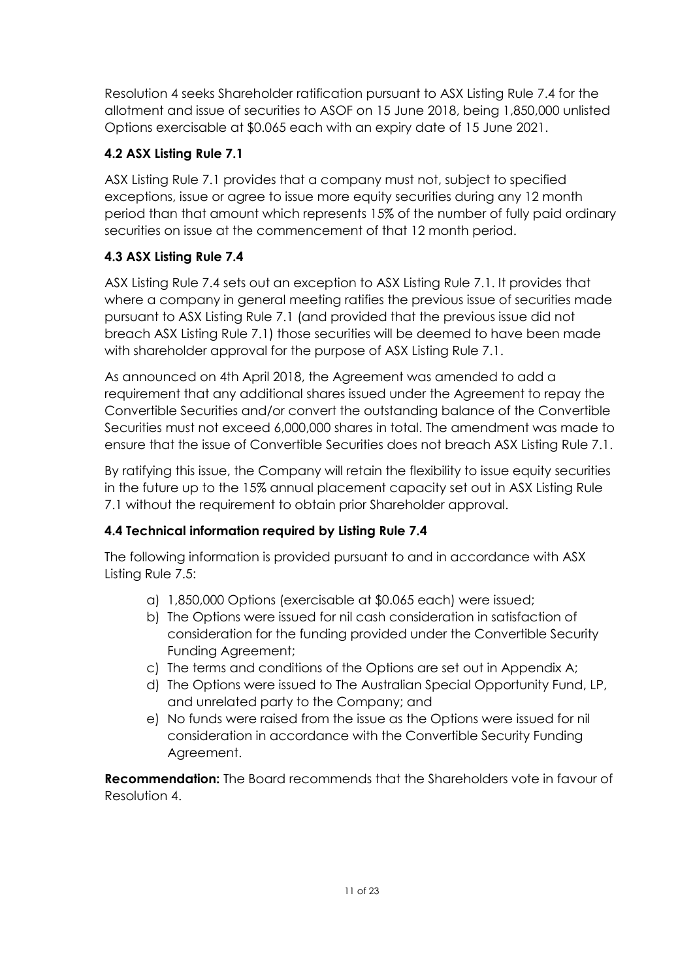Resolution 4 seeks Shareholder ratification pursuant to ASX Listing Rule 7.4 for the allotment and issue of securities to ASOF on 15 June 2018, being 1,850,000 unlisted Options exercisable at \$0.065 each with an expiry date of 15 June 2021.

## **4.2 ASX Listing Rule 7.1**

ASX Listing Rule 7.1 provides that a company must not, subject to specified exceptions, issue or agree to issue more equity securities during any 12 month period than that amount which represents 15% of the number of fully paid ordinary securities on issue at the commencement of that 12 month period.

## **4.3 ASX Listing Rule 7.4**

ASX Listing Rule 7.4 sets out an exception to ASX Listing Rule 7.1. It provides that where a company in general meeting ratifies the previous issue of securities made pursuant to ASX Listing Rule 7.1 (and provided that the previous issue did not breach ASX Listing Rule 7.1) those securities will be deemed to have been made with shareholder approval for the purpose of ASX Listing Rule 7.1.

As announced on 4th April 2018, the Agreement was amended to add a requirement that any additional shares issued under the Agreement to repay the Convertible Securities and/or convert the outstanding balance of the Convertible Securities must not exceed 6,000,000 shares in total. The amendment was made to ensure that the issue of Convertible Securities does not breach ASX Listing Rule 7.1.

By ratifying this issue, the Company will retain the flexibility to issue equity securities in the future up to the 15% annual placement capacity set out in ASX Listing Rule 7.1 without the requirement to obtain prior Shareholder approval.

## **4.4 Technical information required by Listing Rule 7.4**

The following information is provided pursuant to and in accordance with ASX Listing Rule 7.5:

- a) 1,850,000 Options (exercisable at \$0.065 each) were issued;
- b) The Options were issued for nil cash consideration in satisfaction of consideration for the funding provided under the Convertible Security Funding Agreement;
- c) The terms and conditions of the Options are set out in Appendix A;
- d) The Options were issued to The Australian Special Opportunity Fund, LP, and unrelated party to the Company; and
- e) No funds were raised from the issue as the Options were issued for nil consideration in accordance with the Convertible Security Funding Agreement.

**Recommendation:** The Board recommends that the Shareholders vote in favour of Resolution 4.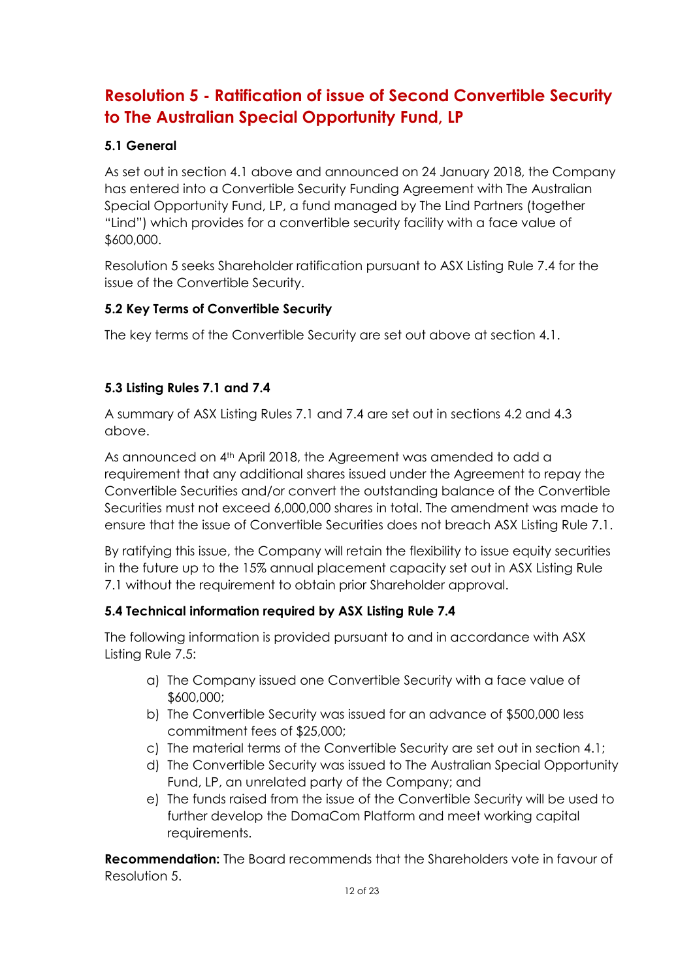# **Resolution 5 - Ratification of issue of Second Convertible Security to The Australian Special Opportunity Fund, LP**

### **5.1 General**

As set out in section 4.1 above and announced on 24 January 2018, the Company has entered into a Convertible Security Funding Agreement with The Australian Special Opportunity Fund, LP, a fund managed by The Lind Partners (together "Lind") which provides for a convertible security facility with a face value of \$600,000.

Resolution 5 seeks Shareholder ratification pursuant to ASX Listing Rule 7.4 for the issue of the Convertible Security.

#### **5.2 Key Terms of Convertible Security**

The key terms of the Convertible Security are set out above at section 4.1.

### **5.3 Listing Rules 7.1 and 7.4**

A summary of ASX Listing Rules 7.1 and 7.4 are set out in sections 4.2 and 4.3 above.

As announced on 4<sup>th</sup> April 2018, the Agreement was amended to add a requirement that any additional shares issued under the Agreement to repay the Convertible Securities and/or convert the outstanding balance of the Convertible Securities must not exceed 6,000,000 shares in total. The amendment was made to ensure that the issue of Convertible Securities does not breach ASX Listing Rule 7.1.

By ratifying this issue, the Company will retain the flexibility to issue equity securities in the future up to the 15% annual placement capacity set out in ASX Listing Rule 7.1 without the requirement to obtain prior Shareholder approval.

### **5.4 Technical information required by ASX Listing Rule 7.4**

The following information is provided pursuant to and in accordance with ASX Listing Rule 7.5:

- a) The Company issued one Convertible Security with a face value of \$600,000;
- b) The Convertible Security was issued for an advance of \$500,000 less commitment fees of \$25,000;
- c) The material terms of the Convertible Security are set out in section 4.1;
- d) The Convertible Security was issued to The Australian Special Opportunity Fund, LP, an unrelated party of the Company; and
- e) The funds raised from the issue of the Convertible Security will be used to further develop the DomaCom Platform and meet working capital requirements.

**Recommendation:** The Board recommends that the Shareholders vote in favour of Resolution 5.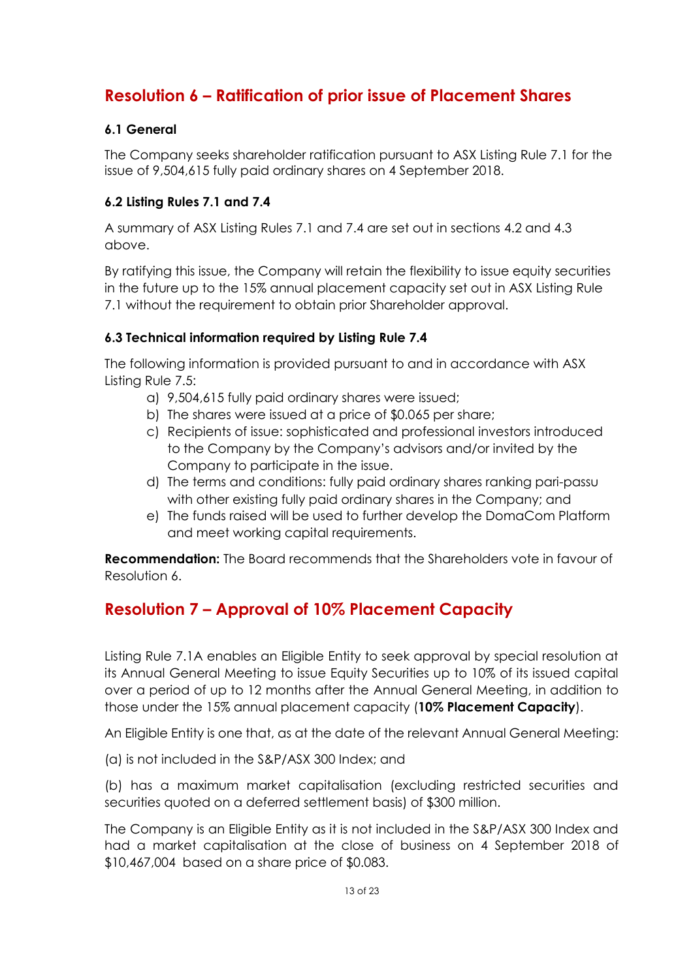# **Resolution 6 – Ratification of prior issue of Placement Shares**

#### **6.1 General**

The Company seeks shareholder ratification pursuant to ASX Listing Rule 7.1 for the issue of 9,504,615 fully paid ordinary shares on 4 September 2018.

#### **6.2 Listing Rules 7.1 and 7.4**

A summary of ASX Listing Rules 7.1 and 7.4 are set out in sections 4.2 and 4.3 above.

By ratifying this issue, the Company will retain the flexibility to issue equity securities in the future up to the 15% annual placement capacity set out in ASX Listing Rule 7.1 without the requirement to obtain prior Shareholder approval.

#### **6.3 Technical information required by Listing Rule 7.4**

The following information is provided pursuant to and in accordance with ASX Listing Rule 7.5:

- a) 9,504,615 fully paid ordinary shares were issued;
- b) The shares were issued at a price of \$0.065 per share;
- c) Recipients of issue: sophisticated and professional investors introduced to the Company by the Company's advisors and/or invited by the Company to participate in the issue.
- d) The terms and conditions: fully paid ordinary shares ranking pari-passu with other existing fully paid ordinary shares in the Company; and
- e) The funds raised will be used to further develop the DomaCom Platform and meet working capital requirements.

**Recommendation:** The Board recommends that the Shareholders vote in favour of Resolution 6.

# **Resolution 7 – Approval of 10% Placement Capacity**

Listing Rule 7.1A enables an Eligible Entity to seek approval by special resolution at its Annual General Meeting to issue Equity Securities up to 10% of its issued capital over a period of up to 12 months after the Annual General Meeting, in addition to those under the 15% annual placement capacity (**10% Placement Capacity**).

An Eligible Entity is one that, as at the date of the relevant Annual General Meeting:

(a) is not included in the S&P/ASX 300 Index; and

(b) has a maximum market capitalisation (excluding restricted securities and securities quoted on a deferred settlement basis) of \$300 million.

The Company is an Eligible Entity as it is not included in the S&P/ASX 300 Index and had a market capitalisation at the close of business on 4 September 2018 of \$10,467,004 based on a share price of \$0.083.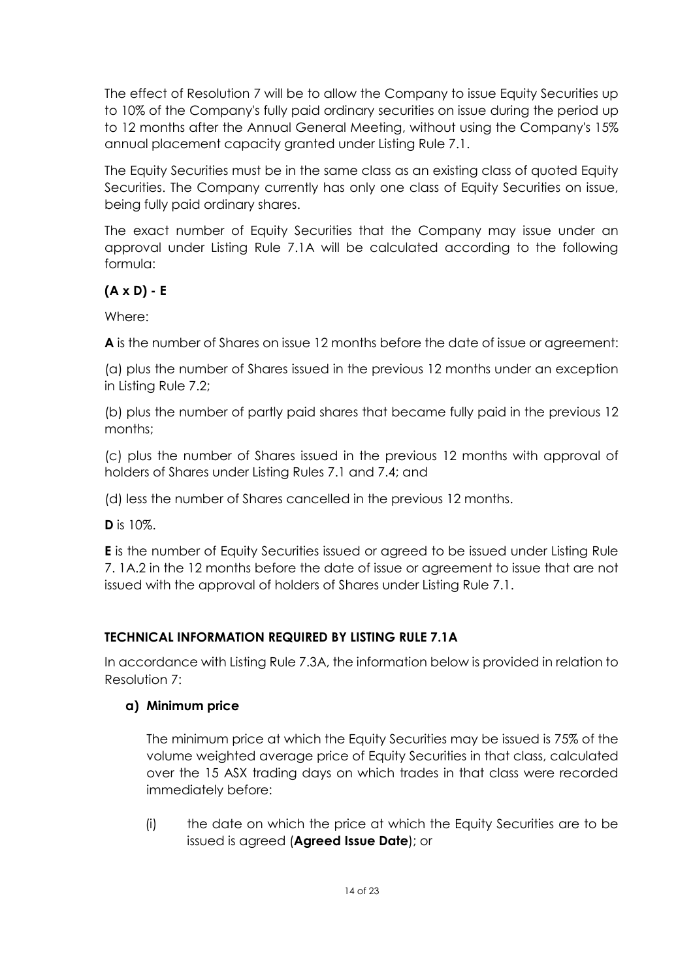The effect of Resolution 7 will be to allow the Company to issue Equity Securities up to 10% of the Company's fully paid ordinary securities on issue during the period up to 12 months after the Annual General Meeting, without using the Company's 15% annual placement capacity granted under Listing Rule 7.1.

The Equity Securities must be in the same class as an existing class of quoted Equity Securities. The Company currently has only one class of Equity Securities on issue, being fully paid ordinary shares.

The exact number of Equity Securities that the Company may issue under an approval under Listing Rule 7.1A will be calculated according to the following formula:

### **(A x D) - E**

Where:

**A** is the number of Shares on issue 12 months before the date of issue or agreement:

(a) plus the number of Shares issued in the previous 12 months under an exception in Listing Rule 7.2;

(b) plus the number of partly paid shares that became fully paid in the previous 12 months;

(c) plus the number of Shares issued in the previous 12 months with approval of holders of Shares under Listing Rules 7.1 and 7.4; and

(d) less the number of Shares cancelled in the previous 12 months.

**D** is 10%.

**E** is the number of Equity Securities issued or agreed to be issued under Listing Rule 7. 1A.2 in the 12 months before the date of issue or agreement to issue that are not issued with the approval of holders of Shares under Listing Rule 7.1.

## **TECHNICAL INFORMATION REQUIRED BY LISTING RULE 7.1A**

In accordance with Listing Rule 7.3A, the information below is provided in relation to Resolution 7:

## **a) Minimum price**

The minimum price at which the Equity Securities may be issued is 75% of the volume weighted average price of Equity Securities in that class, calculated over the 15 ASX trading days on which trades in that class were recorded immediately before:

(i) the date on which the price at which the Equity Securities are to be issued is agreed (**Agreed Issue Date**); or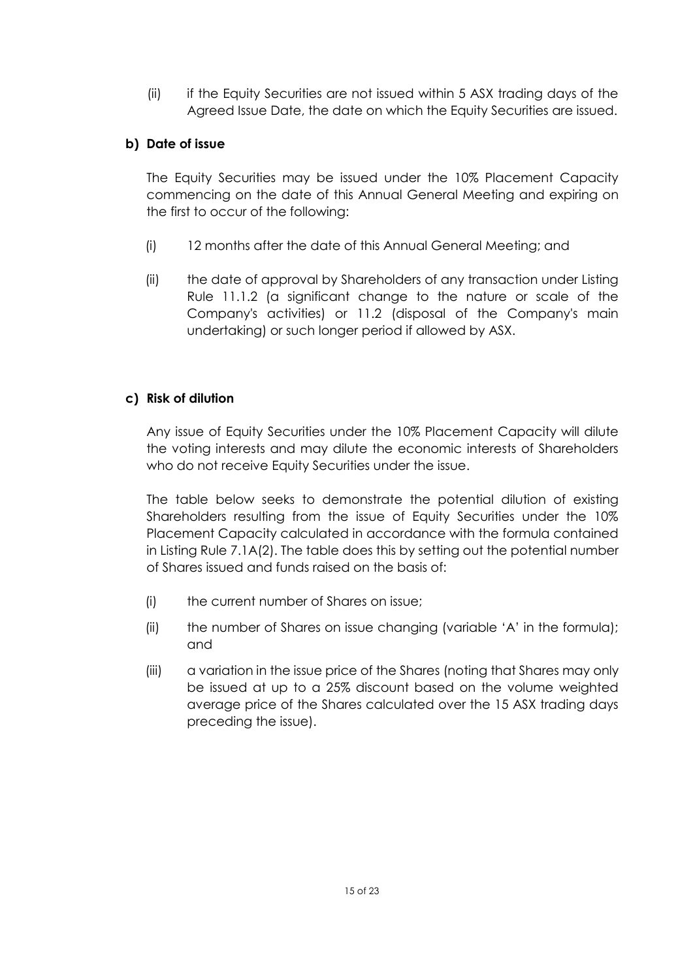(ii) if the Equity Securities are not issued within 5 ASX trading days of the Agreed Issue Date, the date on which the Equity Securities are issued.

#### **b) Date of issue**

The Equity Securities may be issued under the 10% Placement Capacity commencing on the date of this Annual General Meeting and expiring on the first to occur of the following:

- (i) 12 months after the date of this Annual General Meeting; and
- (ii) the date of approval by Shareholders of any transaction under Listing Rule 11.1.2 (a significant change to the nature or scale of the Company's activities) or 11.2 (disposal of the Company's main undertaking) or such longer period if allowed by ASX.

#### **c) Risk of dilution**

Any issue of Equity Securities under the 10% Placement Capacity will dilute the voting interests and may dilute the economic interests of Shareholders who do not receive Equity Securities under the issue.

The table below seeks to demonstrate the potential dilution of existing Shareholders resulting from the issue of Equity Securities under the 10% Placement Capacity calculated in accordance with the formula contained in Listing Rule 7.1A(2). The table does this by setting out the potential number of Shares issued and funds raised on the basis of:

- (i) the current number of Shares on issue;
- (ii) the number of Shares on issue changing (variable 'A' in the formula); and
- (iii) a variation in the issue price of the Shares (noting that Shares may only be issued at up to a 25% discount based on the volume weighted average price of the Shares calculated over the 15 ASX trading days preceding the issue).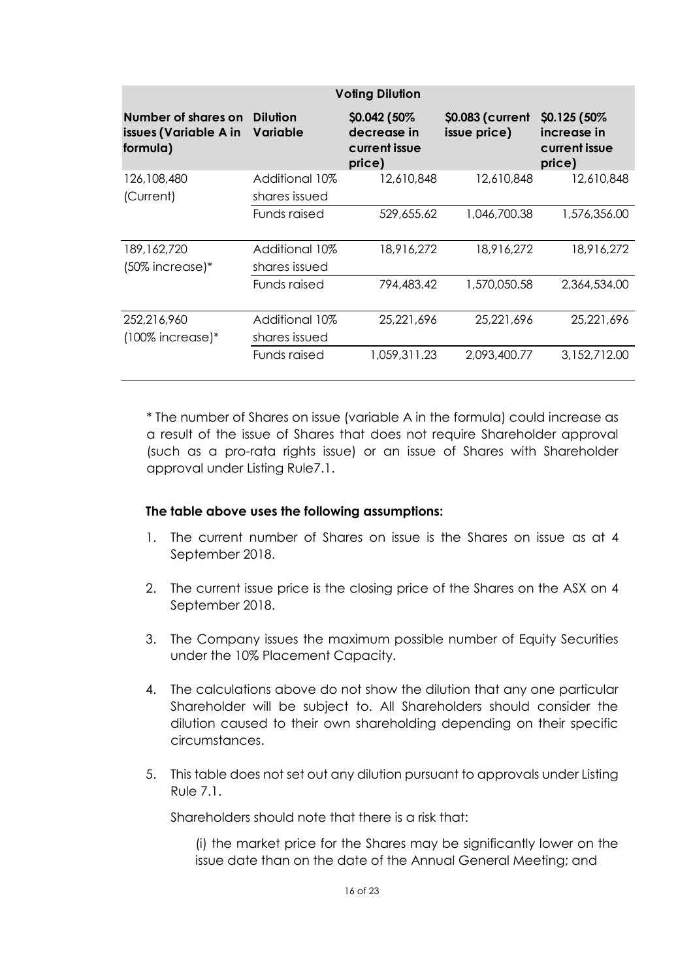| <b>Voling Dilution</b>                                   |                                 |                                                         |                                  |                                                         |  |
|----------------------------------------------------------|---------------------------------|---------------------------------------------------------|----------------------------------|---------------------------------------------------------|--|
| Number of shares on<br>issues (Variable A in<br>formula) | <b>Dilution</b><br>Variable     | \$0.042 (50%)<br>decrease in<br>current issue<br>price) | \$0.083 (current<br>issue price) | \$0.125 (50%)<br>increase in<br>current issue<br>price) |  |
| 126,108,480<br>(Current)                                 | Additional 10%<br>shares issued | 12,610,848                                              | 12,610,848                       | 12,610,848                                              |  |
|                                                          | Funds raised                    | 529,655.62                                              | 1,046,700.38                     | 1,576,356.00                                            |  |
| 189, 162, 720<br>(50% increase)*                         | Additional 10%<br>shares issued | 18,916,272                                              | 18,916,272                       | 18,916,272                                              |  |
|                                                          | Funds raised                    | 794,483.42                                              | 1,570,050.58                     | 2,364,534.00                                            |  |
| 252,216,960<br>$(100\%$ increase)*                       | Additional 10%<br>shares issued | 25,221,696                                              | 25,221,696                       | 25,221,696                                              |  |
|                                                          | Funds raised                    | 1,059,311.23                                            | 2,093,400.77                     | 3,152,712.00                                            |  |

\* The number of Shares on issue (variable A in the formula) could increase as a result of the issue of Shares that does not require Shareholder approval (such as a pro-rata rights issue) or an issue of Shares with Shareholder approval under Listing Rule7.1.

#### **The table above uses the following assumptions:**

- 1. The current number of Shares on issue is the Shares on issue as at 4 September 2018.
- 2. The current issue price is the closing price of the Shares on the ASX on 4 September 2018.
- 3. The Company issues the maximum possible number of Equity Securities under the 10% Placement Capacity.
- 4. The calculations above do not show the dilution that any one particular Shareholder will be subject to. All Shareholders should consider the dilution caused to their own shareholding depending on their specific circumstances.
- 5. This table does not set out any dilution pursuant to approvals under Listing Rule 7.1.

Shareholders should note that there is a risk that:

(i) the market price for the Shares may be significantly lower on the issue date than on the date of the Annual General Meeting; and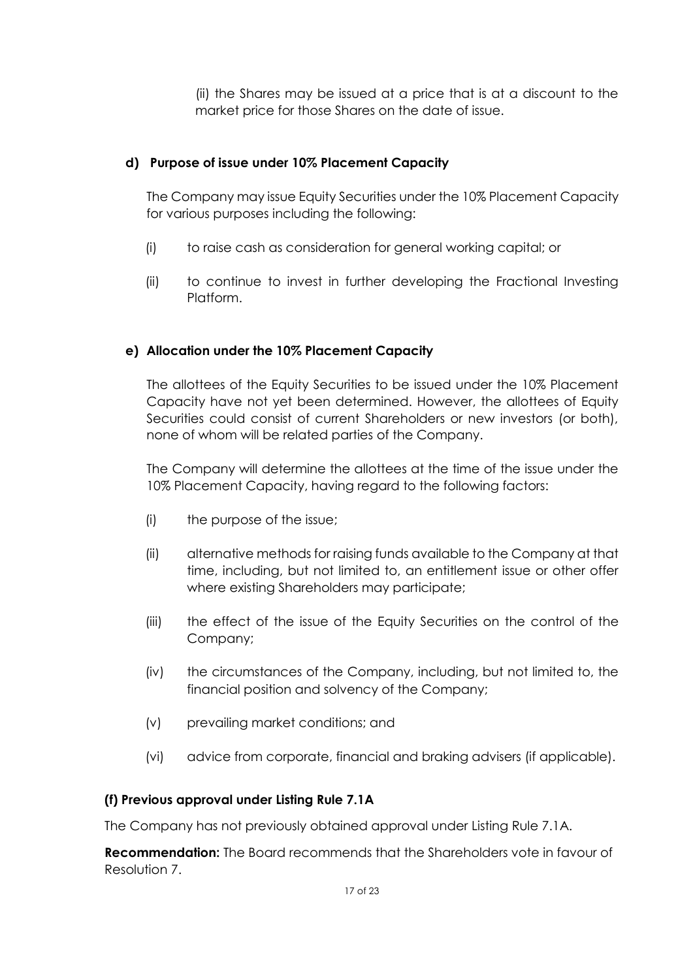(ii) the Shares may be issued at a price that is at a discount to the market price for those Shares on the date of issue.

#### **d) Purpose of issue under 10% Placement Capacity**

The Company may issue Equity Securities under the 10% Placement Capacity for various purposes including the following:

- (i) to raise cash as consideration for general working capital; or
- (ii) to continue to invest in further developing the Fractional Investing Platform.

#### **e) Allocation under the 10% Placement Capacity**

The allottees of the Equity Securities to be issued under the 10% Placement Capacity have not yet been determined. However, the allottees of Equity Securities could consist of current Shareholders or new investors (or both), none of whom will be related parties of the Company.

The Company will determine the allottees at the time of the issue under the 10% Placement Capacity, having regard to the following factors:

- (i) the purpose of the issue;
- (ii) alternative methods for raising funds available to the Company at that time, including, but not limited to, an entitlement issue or other offer where existing Shareholders may participate;
- (iii) the effect of the issue of the Equity Securities on the control of the Company;
- (iv) the circumstances of the Company, including, but not limited to, the financial position and solvency of the Company;
- (v) prevailing market conditions; and
- (vi) advice from corporate, financial and braking advisers (if applicable).

#### **(f) Previous approval under Listing Rule 7.1A**

The Company has not previously obtained approval under Listing Rule 7.1A.

**Recommendation:** The Board recommends that the Shareholders vote in favour of Resolution 7.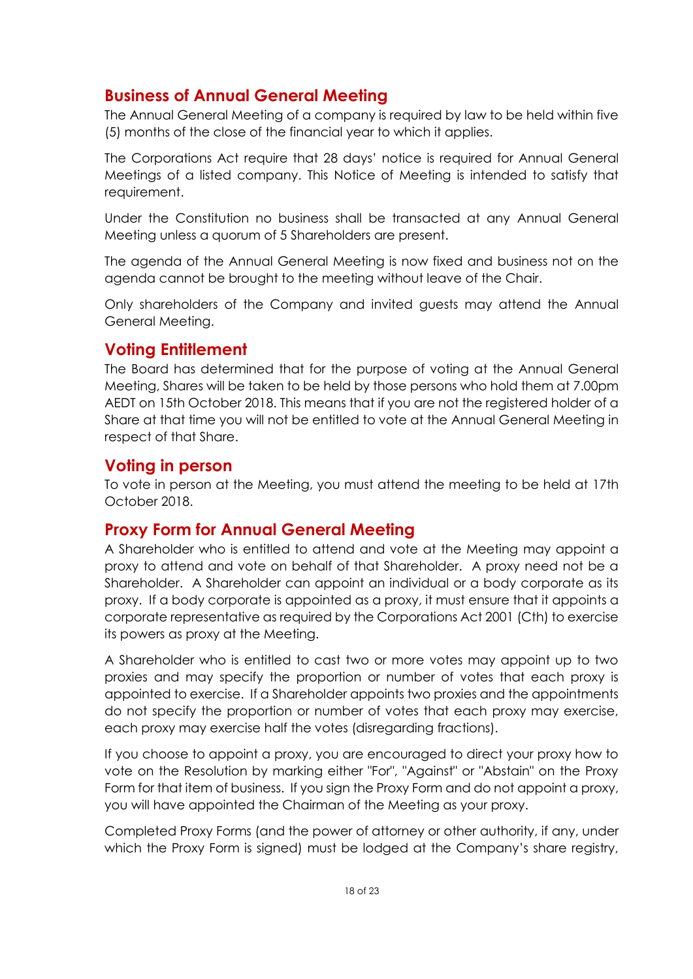## **Business of Annual General Meeting**

The Annual General Meeting of a company is required by law to be held within five (5) months of the close of the financial year to which it applies.

The Corporations Act require that 28 days' notice is required for Annual General Meetings of a listed company. This Notice of Meeting is intended to satisfy that requirement.

Under the Constitution no business shall be transacted at any Annual General Meeting unless a quorum of 5 Shareholders are present.

The agenda of the Annual General Meeting is now fixed and business not on the agenda cannot be brought to the meeting without leave of the Chair.

Only shareholders of the Company and invited guests may attend the Annual General Meeting.

## **Voting Entitlement**

The Board has determined that for the purpose of voting at the Annual General Meeting, Shares will be taken to be held by those persons who hold them at 7.00pm AEDT on 15th October 2018. This means that if you are not the registered holder of a Share at that time you will not be entitled to vote at the Annual General Meeting in respect of that Share.

## **Voting in person**

To vote in person at the Meeting, you must attend the meeting to be held at 17th October 2018.

## **Proxy Form for Annual General Meeting**

A Shareholder who is entitled to attend and vote at the Meeting may appoint a proxy to attend and vote on behalf of that Shareholder. A proxy need not be a Shareholder. A Shareholder can appoint an individual or a body corporate as its proxy. If a body corporate is appointed as a proxy, it must ensure that it appoints a corporate representative as required by the Corporations Act 2001 (Cth) to exercise its powers as proxy at the Meeting.

A Shareholder who is entitled to cast two or more votes may appoint up to two proxies and may specify the proportion or number of votes that each proxy is appointed to exercise. If a Shareholder appoints two proxies and the appointments do not specify the proportion or number of votes that each proxy may exercise, each proxy may exercise half the votes (disregarding fractions).

If you choose to appoint a proxy, you are encouraged to direct your proxy how to vote on the Resolution by marking either "For", "Against" or "Abstain" on the Proxy Form for that item of business. If you sign the Proxy Form and do not appoint a proxy, you will have appointed the Chairman of the Meeting as your proxy.

Completed Proxy Forms (and the power of attorney or other authority, if any, under which the Proxy Form is signed) must be lodged at the Company's share registry,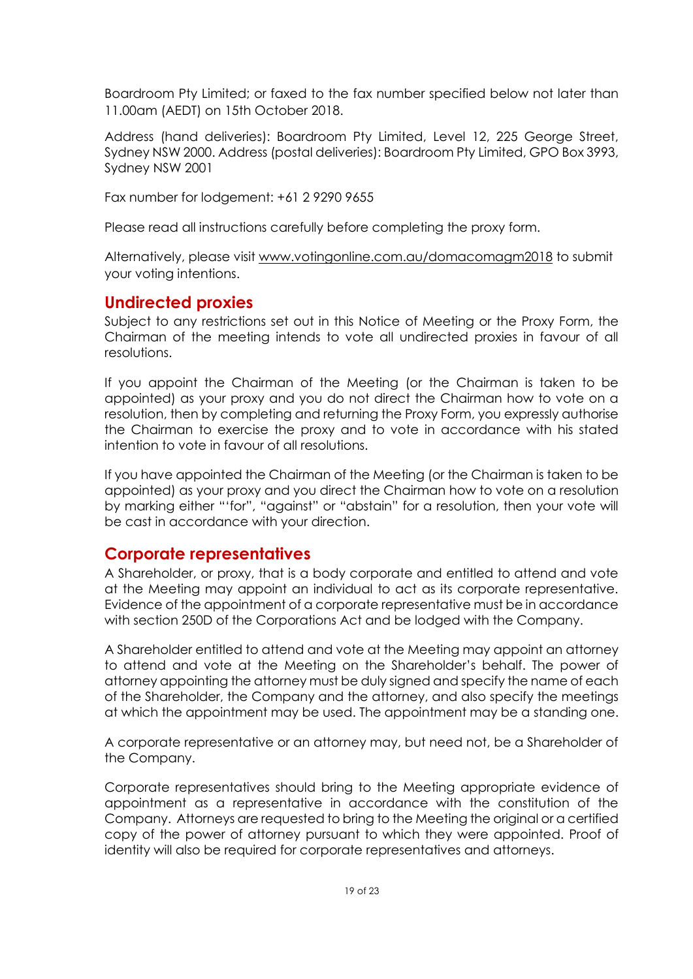Boardroom Pty Limited; or faxed to the fax number specified below not later than 11.00am (AEDT) on 15th October 2018.

Address (hand deliveries): Boardroom Pty Limited, Level 12, 225 George Street, Sydney NSW 2000. Address (postal deliveries): Boardroom Pty Limited, GPO Box 3993, Sydney NSW 2001

Fax number for lodgement: +61 2 9290 9655

Please read all instructions carefully before completing the proxy form.

Alternatively, please visit [www.votingonline.com.au/domacomagm2018](http://www.votingonline.com.au/domacomagm2018) to submit your voting intentions.

## **Undirected proxies**

Subject to any restrictions set out in this Notice of Meeting or the Proxy Form, the Chairman of the meeting intends to vote all undirected proxies in favour of all resolutions.

If you appoint the Chairman of the Meeting (or the Chairman is taken to be appointed) as your proxy and you do not direct the Chairman how to vote on a resolution, then by completing and returning the Proxy Form, you expressly authorise the Chairman to exercise the proxy and to vote in accordance with his stated intention to vote in favour of all resolutions.

If you have appointed the Chairman of the Meeting (or the Chairman is taken to be appointed) as your proxy and you direct the Chairman how to vote on a resolution by marking either "'for", "against" or "abstain" for a resolution, then your vote will be cast in accordance with your direction.

## **Corporate representatives**

A Shareholder, or proxy, that is a body corporate and entitled to attend and vote at the Meeting may appoint an individual to act as its corporate representative. Evidence of the appointment of a corporate representative must be in accordance with section 250D of the Corporations Act and be lodged with the Company.

A Shareholder entitled to attend and vote at the Meeting may appoint an attorney to attend and vote at the Meeting on the Shareholder's behalf. The power of attorney appointing the attorney must be duly signed and specify the name of each of the Shareholder, the Company and the attorney, and also specify the meetings at which the appointment may be used. The appointment may be a standing one.

A corporate representative or an attorney may, but need not, be a Shareholder of the Company.

Corporate representatives should bring to the Meeting appropriate evidence of appointment as a representative in accordance with the constitution of the Company. Attorneys are requested to bring to the Meeting the original or a certified copy of the power of attorney pursuant to which they were appointed. Proof of identity will also be required for corporate representatives and attorneys.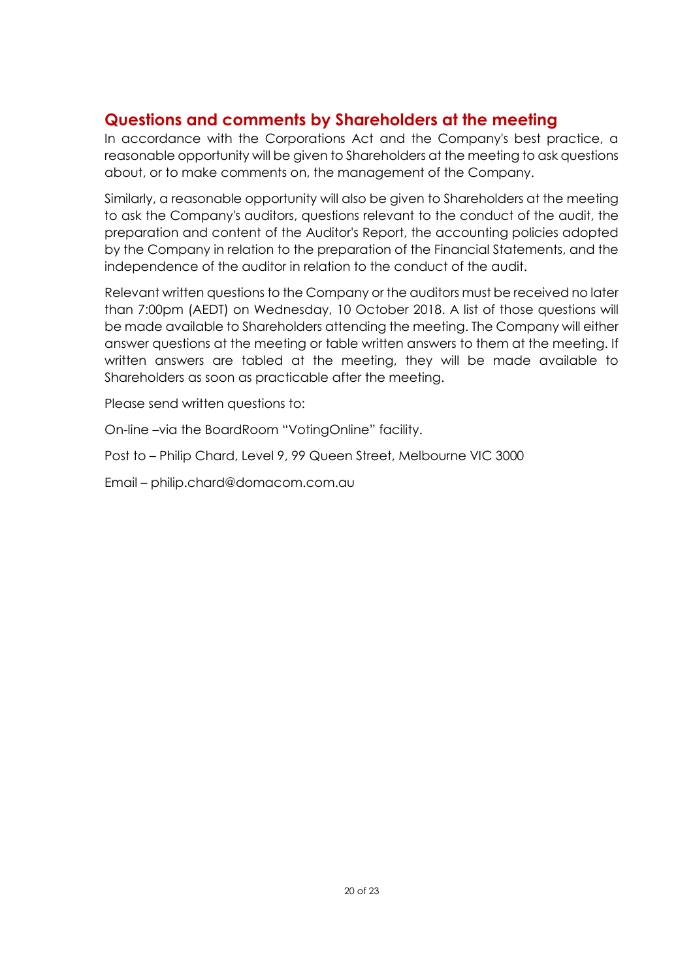# **Questions and comments by Shareholders at the meeting**

In accordance with the Corporations Act and the Company's best practice, a reasonable opportunity will be given to Shareholders at the meeting to ask questions about, or to make comments on, the management of the Company.

Similarly, a reasonable opportunity will also be given to Shareholders at the meeting to ask the Company's auditors, questions relevant to the conduct of the audit, the preparation and content of the Auditor's Report, the accounting policies adopted by the Company in relation to the preparation of the Financial Statements, and the independence of the auditor in relation to the conduct of the audit.

Relevant written questions to the Company or the auditors must be received no later than 7:00pm (AEDT) on Wednesday, 10 October 2018. A list of those questions will be made available to Shareholders attending the meeting. The Company will either answer questions at the meeting or table written answers to them at the meeting. If written answers are tabled at the meeting, they will be made available to Shareholders as soon as practicable after the meeting.

Please send written questions to:

On-line –via the BoardRoom "VotingOnline" facility.

Post to – Philip Chard, Level 9, 99 Queen Street, Melbourne VIC 3000

Email – philip.chard@domacom.com.au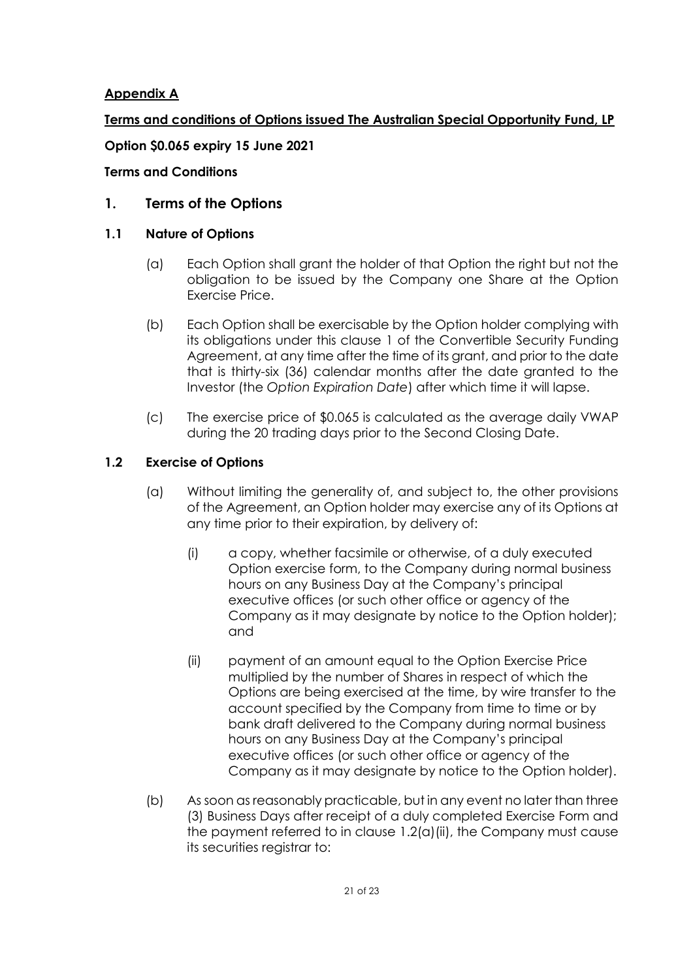#### **Appendix A**

### **Terms and conditions of Options issued The Australian Special Opportunity Fund, LP**

#### **Option \$0.065 expiry 15 June 2021**

#### **Terms and Conditions**

#### <span id="page-20-0"></span>**1. Terms of the Options**

#### **1.1 Nature of Options**

- (a) Each Option shall grant the holder of that Option the right but not the obligation to be issued by the Company one Share at the Option Exercise Price.
- (b) Each Option shall be exercisable by the Option holder complying with its obligations under this clause [1](#page-20-0) of the Convertible Security Funding Agreement, at any time after the time of its grant, and prior to the date that is thirty-six (36) calendar months after the date granted to the Investor (the *Option Expiration Date*) after which time it will lapse.
- (c) The exercise price of \$0.065 is calculated as the average daily VWAP during the 20 trading days prior to the Second Closing Date.

#### **1.2 Exercise of Options**

- (a) Without limiting the generality of, and subject to, the other provisions of the Agreement, an Option holder may exercise any of its Options at any time prior to their expiration, by delivery of:
	- (i) a copy, whether facsimile or otherwise, of a duly executed Option exercise form, to the Company during normal business hours on any Business Day at the Company's principal executive offices (or such other office or agency of the Company as it may designate by notice to the Option holder); and
	- (ii) payment of an amount equal to the Option Exercise Price multiplied by the number of Shares in respect of which the Options are being exercised at the time, by wire transfer to the account specified by the Company from time to time or by bank draft delivered to the Company during normal business hours on any Business Day at the Company's principal executive offices (or such other office or agency of the Company as it may designate by notice to the Option holder).
- <span id="page-20-1"></span>(b) As soon as reasonably practicable, but in any event no later than three (3) Business Days after receipt of a duly completed Exercise Form and the payment referred to in clause [1.2\(a\)\(ii\),](#page-20-1) the Company must cause its securities registrar to: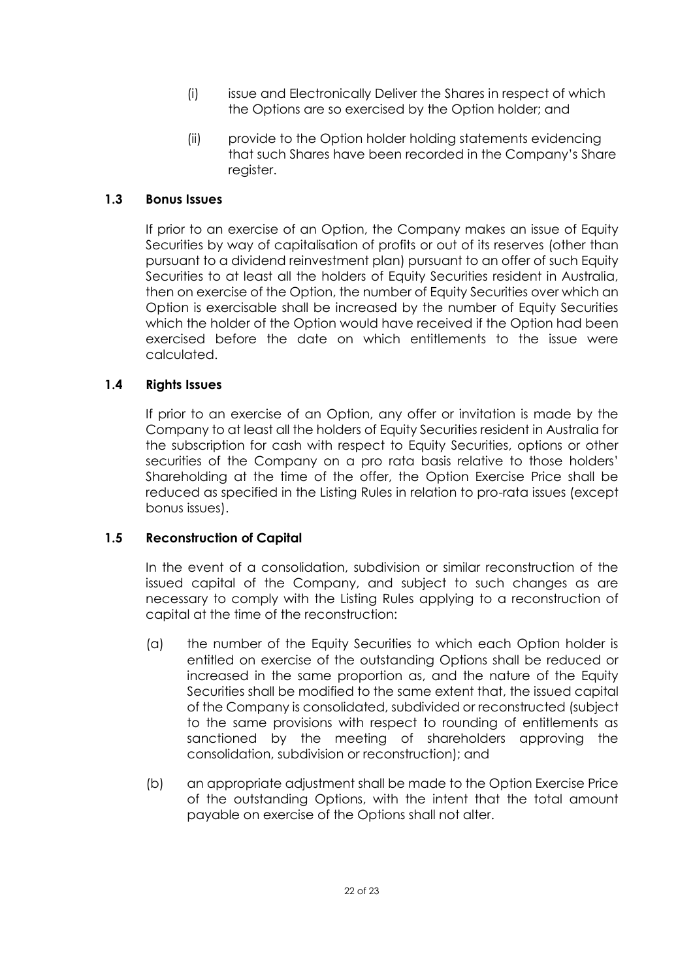- (i) issue and Electronically Deliver the Shares in respect of which the Options are so exercised by the Option holder; and
- (ii) provide to the Option holder holding statements evidencing that such Shares have been recorded in the Company's Share register.

#### <span id="page-21-0"></span>**1.3 Bonus Issues**

If prior to an exercise of an Option, the Company makes an issue of Equity Securities by way of capitalisation of profits or out of its reserves (other than pursuant to a dividend reinvestment plan) pursuant to an offer of such Equity Securities to at least all the holders of Equity Securities resident in Australia, then on exercise of the Option, the number of Equity Securities over which an Option is exercisable shall be increased by the number of Equity Securities which the holder of the Option would have received if the Option had been exercised before the date on which entitlements to the issue were calculated.

#### **1.4 Rights Issues**

If prior to an exercise of an Option, any offer or invitation is made by the Company to at least all the holders of Equity Securities resident in Australia for the subscription for cash with respect to Equity Securities, options or other securities of the Company on a pro rata basis relative to those holders' Shareholding at the time of the offer, the Option Exercise Price shall be reduced as specified in the Listing Rules in relation to pro-rata issues (except bonus issues).

#### <span id="page-21-1"></span>**1.5 Reconstruction of Capital**

In the event of a consolidation, subdivision or similar reconstruction of the issued capital of the Company, and subject to such changes as are necessary to comply with the Listing Rules applying to a reconstruction of capital at the time of the reconstruction:

- (a) the number of the Equity Securities to which each Option holder is entitled on exercise of the outstanding Options shall be reduced or increased in the same proportion as, and the nature of the Equity Securities shall be modified to the same extent that, the issued capital of the Company is consolidated, subdivided or reconstructed (subject to the same provisions with respect to rounding of entitlements as sanctioned by the meeting of shareholders approving the consolidation, subdivision or reconstruction); and
- (b) an appropriate adjustment shall be made to the Option Exercise Price of the outstanding Options, with the intent that the total amount payable on exercise of the Options shall not alter.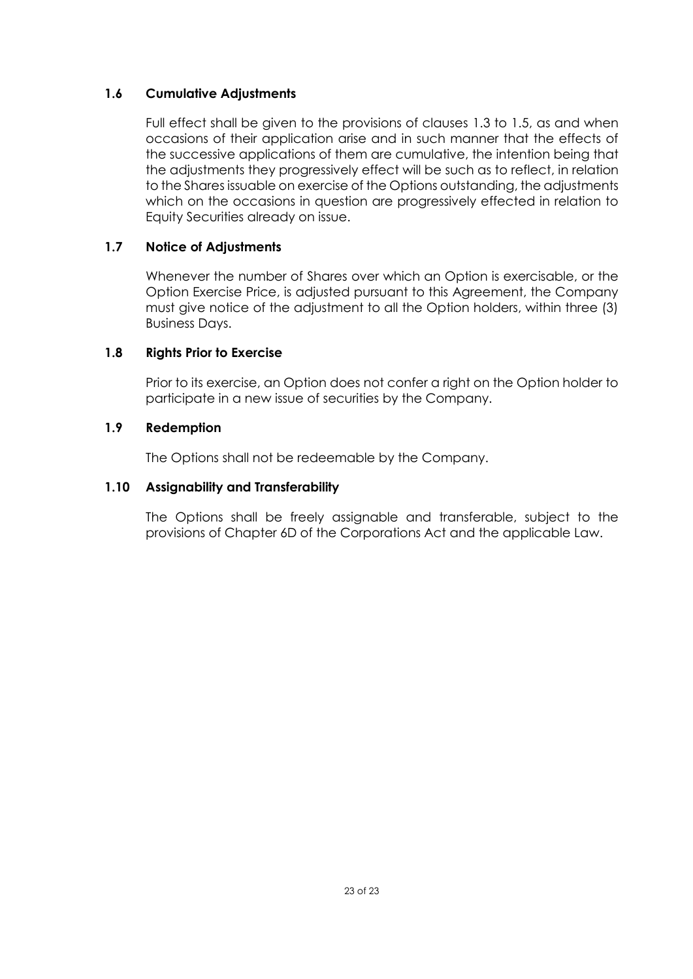#### **1.6 Cumulative Adjustments**

Full effect shall be given to the provisions of clauses [1.3](#page-21-0) to [1.5,](#page-21-1) as and when occasions of their application arise and in such manner that the effects of the successive applications of them are cumulative, the intention being that the adjustments they progressively effect will be such as to reflect, in relation to the Shares issuable on exercise of the Options outstanding, the adjustments which on the occasions in question are progressively effected in relation to Equity Securities already on issue.

#### **1.7 Notice of Adjustments**

Whenever the number of Shares over which an Option is exercisable, or the Option Exercise Price, is adjusted pursuant to this Agreement, the Company must give notice of the adjustment to all the Option holders, within three (3) Business Days.

#### **1.8 Rights Prior to Exercise**

Prior to its exercise, an Option does not confer a right on the Option holder to participate in a new issue of securities by the Company.

#### **1.9 Redemption**

The Options shall not be redeemable by the Company.

#### **1.10 Assignability and Transferability**

The Options shall be freely assignable and transferable, subject to the provisions of Chapter 6D of the Corporations Act and the applicable Law.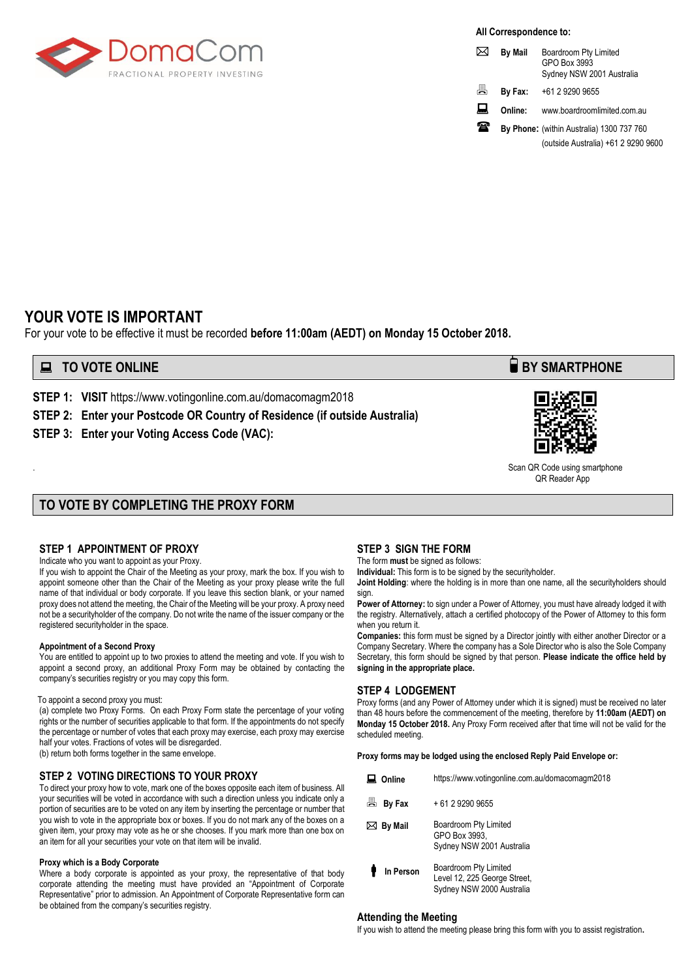

**All Correspondence to:**

| ⋈  | <b>By Mail</b> | Boardroom Pty Limited<br>GPO Box 3993<br>Sydney NSW 2001 Australia |
|----|----------------|--------------------------------------------------------------------|
| ā. | By Fax:        | +61 2 9290 9655                                                    |
| ᇦ  | Online:        | www.boardroomlimited.com.au                                        |
| 涵  |                | By Phone: (within Australia) 1300 737 760                          |
|    |                | (outside Australia) +61 2 9290 9600                                |

#### **YOUR VOTE IS IMPORTANT**

For your vote to be effective it must be recorded **before 11:00am (AEDT) on Monday 15 October 2018.** 

#### **EXECUTE ONLINE BY SMARTPHONE**

**STEP 1: VISIT** https://www.votingonline.com.au/domacomagm2018

**STEP 2: Enter your Postcode OR Country of Residence (if outside Australia)**

**STEP 3: Enter your Voting Access Code (VAC):**



. Scan QR Code using smartphone QR Reader App

### **TO VOTE BY COMPLETING THE PROXY FORM**

#### **STEP 1 APPOINTMENT OF PROXY**

Indicate who you want to appoint as your Proxy.

If you wish to appoint the Chair of the Meeting as your proxy, mark the box. If you wish to appoint someone other than the Chair of the Meeting as your proxy please write the full name of that individual or body corporate. If you leave this section blank, or your named proxy does not attend the meeting, the Chair of the Meeting will be your proxy. A proxy need not be a securityholder of the company. Do not write the name of the issuer company or the registered securityholder in the space.

#### **Appointment of a Second Proxy**

You are entitled to appoint up to two proxies to attend the meeting and vote. If you wish to appoint a second proxy, an additional Proxy Form may be obtained by contacting the company's securities registry or you may copy this form.

#### To appoint a second proxy you must:

(a) complete two Proxy Forms. On each Proxy Form state the percentage of your voting rights or the number of securities applicable to that form. If the appointments do not specify the percentage or number of votes that each proxy may exercise, each proxy may exercise half your votes. Fractions of votes will be disregarded.

(b) return both forms together in the same envelope.

#### **STEP 2 VOTING DIRECTIONS TO YOUR PROXY**

To direct your proxy how to vote, mark one of the boxes opposite each item of business. All your securities will be voted in accordance with such a direction unless you indicate only a portion of securities are to be voted on any item by inserting the percentage or number that you wish to vote in the appropriate box or boxes. If you do not mark any of the boxes on a given item, your proxy may vote as he or she chooses. If you mark more than one box on an item for all your securities your vote on that item will be invalid.

#### **Proxy which is a Body Corporate**

Where a body corporate is appointed as your proxy, the representative of that body corporate attending the meeting must have provided an "Appointment of Corporate Representative" prior to admission. An Appointment of Corporate Representative form can be obtained from the company's securities registry.

#### **STEP 3 SIGN THE FORM**

The form **must** be signed as follows:

**Individual:** This form is to be signed by the securityholder.

**Joint Holding**: where the holding is in more than one name, all the securityholders should sign.

**Power of Attorney:** to sign under a Power of Attorney, you must have already lodged it with the registry. Alternatively, attach a certified photocopy of the Power of Attorney to this form when you return it.

**Companies:** this form must be signed by a Director jointly with either another Director or a Company Secretary. Where the company has a Sole Director who is also the Sole Company Secretary, this form should be signed by that person. **Please indicate the office held by signing in the appropriate place.**

#### **STEP 4 LODGEMENT**

Proxy forms (and any Power of Attorney under which it is signed) must be received no later than 48 hours before the commencement of the meeting, therefore by **11:00am (AEDT) on Monday 15 October 2018.** Any Proxy Form received after that time will not be valid for the scheduled meeting.

**Proxy forms may be lodged using the enclosed Reply Paid Envelope or:**

| Online            | https://www.votingonline.com.au/domacomagm2018                                     |  |  |
|-------------------|------------------------------------------------------------------------------------|--|--|
| 昌<br>By Fax       | + 61 2 9290 9655                                                                   |  |  |
| $\bowtie$ By Mail | Boardroom Pty Limited<br>GPO Box 3993.<br>Sydney NSW 2001 Australia                |  |  |
| In Person         | Boardroom Pty Limited<br>Level 12, 225 George Street,<br>Sydney NSW 2000 Australia |  |  |

#### **Attending the Meeting**

If you wish to attend the meeting please bring this form with you to assist registration**.**